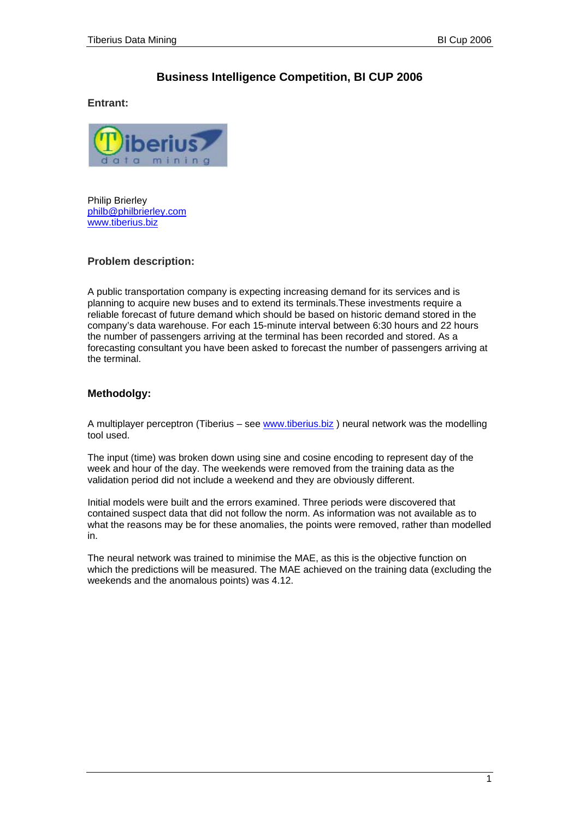## **Business Intelligence Competition, BI CUP 2006**

**Entrant:** 



Philip Brierley [philb@philbrierley.com](mailto:philb@philbrierley.com) [www.tiberius.biz](http://www.tiberius.biz/)

## **Problem description:**

A public transportation company is expecting increasing demand for its services and is planning to acquire new buses and to extend its terminals.These investments require a reliable forecast of future demand which should be based on historic demand stored in the company's data warehouse. For each 15-minute interval between 6:30 hours and 22 hours the number of passengers arriving at the terminal has been recorded and stored. As a forecasting consultant you have been asked to forecast the number of passengers arriving at the terminal.

## **Methodolgy:**

A multiplayer perceptron (Tiberius – see [www.tiberius.biz](http://www.tiberius.biz/) ) neural network was the modelling tool used.

The input (time) was broken down using sine and cosine encoding to represent day of the week and hour of the day. The weekends were removed from the training data as the validation period did not include a weekend and they are obviously different.

Initial models were built and the errors examined. Three periods were discovered that contained suspect data that did not follow the norm. As information was not available as to what the reasons may be for these anomalies, the points were removed, rather than modelled in.

The neural network was trained to minimise the MAE, as this is the objective function on which the predictions will be measured. The MAE achieved on the training data (excluding the weekends and the anomalous points) was 4.12.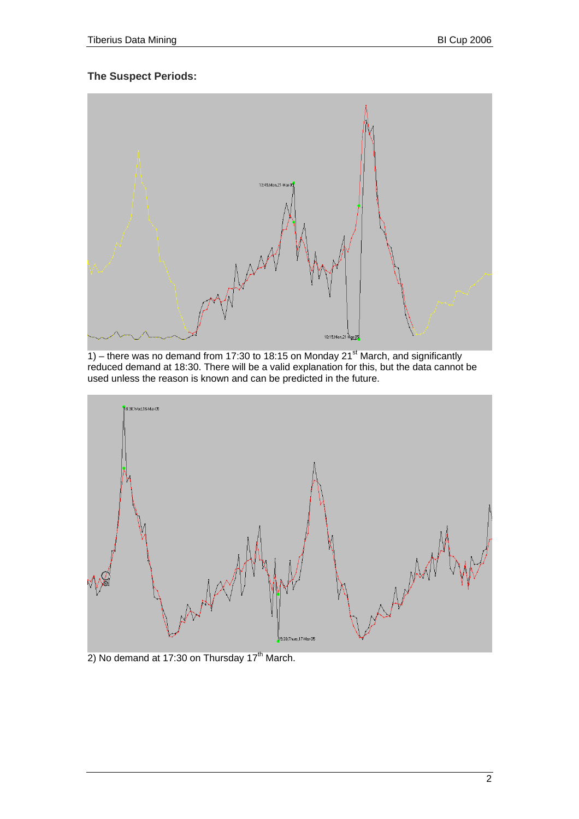## **The Suspect Periods:**



1) – there was no demand from 17:30 to 18:15 on Monday 21<sup>st</sup> March, and significantly reduced demand at 18:30. There will be a valid explanation for this, but the data cannot be used unless the reason is known and can be predicted in the future.



2) No demand at 17:30 on Thursday  $17<sup>th</sup>$  March.